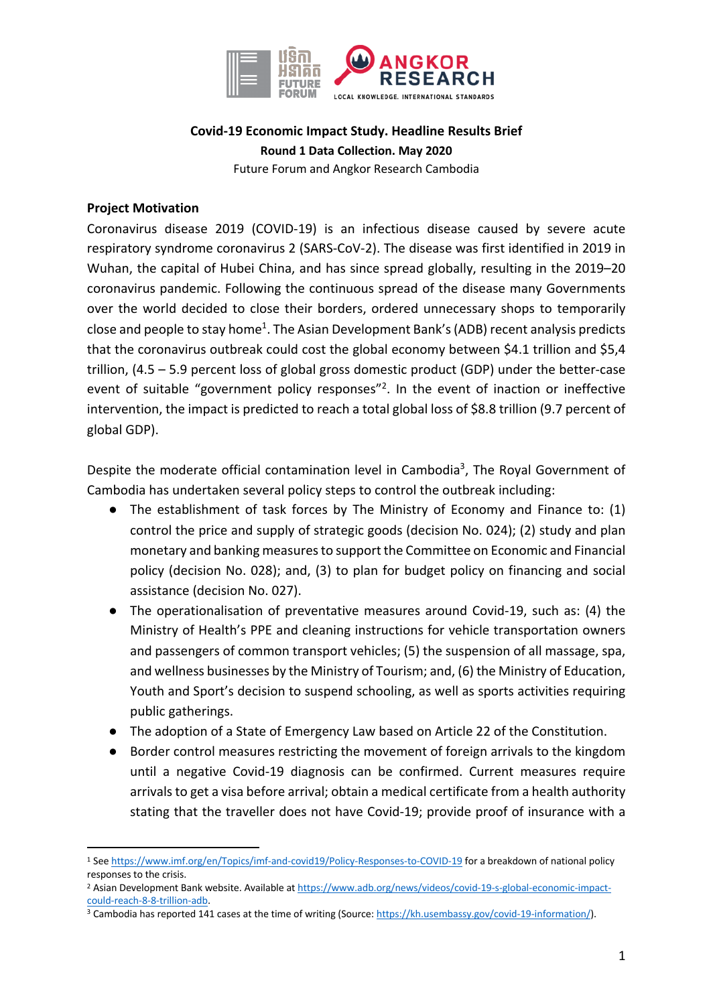

# **Covid-19 Economic Impact Study. Headline Results Brief Round 1 Data Collection. May 2020** Future Forum and Angkor Research Cambodia

# **Project Motivation**

Coronavirus disease 2019 (COVID-19) is an infectious disease caused by severe acute respiratory syndrome coronavirus 2 (SARS-CoV-2). The disease was first identified in 2019 in Wuhan, the capital of Hubei China, and has since spread globally, resulting in the 2019–20 coronavirus pandemic. Following the continuous spread of the disease many Governments over the world decided to close their borders, ordered unnecessary shops to temporarily close and people to stay home<sup>1</sup>. The Asian Development Bank's (ADB) recent analysis predicts that the coronavirus outbreak could cost the global economy between \$4.1 trillion and \$5,4 trillion, (4.5 – 5.9 percent loss of global gross domestic product (GDP) under the better-case event of suitable "government policy responses"<sup>2</sup>. In the event of inaction or ineffective intervention, the impact is predicted to reach a total global loss of \$8.8 trillion (9.7 percent of global GDP).

Despite the moderate official contamination level in Cambodia<sup>3</sup>, The Royal Government of Cambodia has undertaken several policy steps to control the outbreak including:

- The establishment of task forces by The Ministry of Economy and Finance to: (1) control the price and supply of strategic goods (decision No. 024); (2) study and plan monetary and banking measures to support the Committee on Economic and Financial policy (decision No. 028); and, (3) to plan for budget policy on financing and social assistance (decision No. 027).
- The operationalisation of preventative measures around Covid-19, such as: (4) the Ministry of Health's PPE and cleaning instructions for vehicle transportation owners and passengers of common transport vehicles; (5) the suspension of all massage, spa, and wellness businesses by the Ministry of Tourism; and, (6) the Ministry of Education, Youth and Sport's decision to suspend schooling, as well as sports activities requiring public gatherings.
- The adoption of a State of Emergency Law based on Article 22 of the Constitution.
- Border control measures restricting the movement of foreign arrivals to the kingdom until a negative Covid-19 diagnosis can be confirmed. Current measures require arrivals to get a visa before arrival; obtain a medical certificate from a health authority stating that the traveller does not have Covid-19; provide proof of insurance with a

<sup>1</sup> See https://www.imf.org/en/Topics/imf-and-covid19/Policy-Responses-to-COVID-19 for a breakdown of national policy responses to the crisis.

<sup>&</sup>lt;sup>2</sup> Asian Development Bank website. Available at https://www.adb.org/news/videos/covid-19-s-global-economic-impactcould-reach-8-8-trillion-adb.<br><sup>3</sup> Cambodia has reported 141 cases at the time of writing (Source: https://kh.usembassy.gov/covid-19-information/).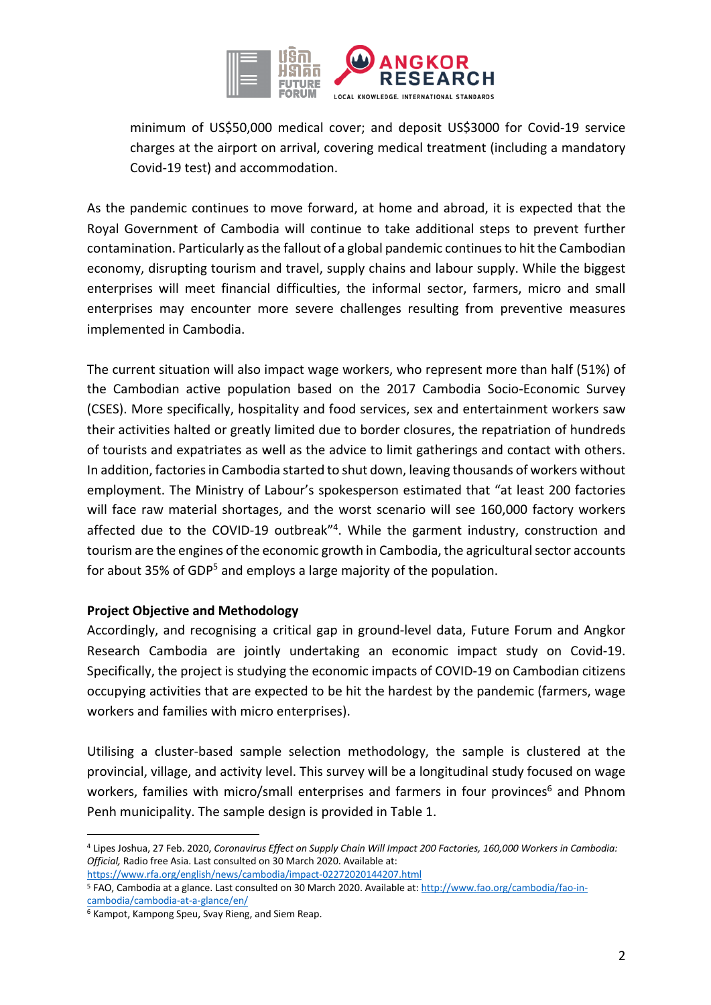

minimum of US\$50,000 medical cover; and deposit US\$3000 for Covid-19 service charges at the airport on arrival, covering medical treatment (including a mandatory Covid-19 test) and accommodation.

As the pandemic continues to move forward, at home and abroad, it is expected that the Royal Government of Cambodia will continue to take additional steps to prevent further contamination. Particularly as the fallout of a global pandemic continues to hit the Cambodian economy, disrupting tourism and travel, supply chains and labour supply. While the biggest enterprises will meet financial difficulties, the informal sector, farmers, micro and small enterprises may encounter more severe challenges resulting from preventive measures implemented in Cambodia.

The current situation will also impact wage workers, who represent more than half (51%) of the Cambodian active population based on the 2017 Cambodia Socio-Economic Survey (CSES). More specifically, hospitality and food services, sex and entertainment workers saw their activities halted or greatly limited due to border closures, the repatriation of hundreds of tourists and expatriates as well as the advice to limit gatherings and contact with others. In addition, factories in Cambodia started to shut down, leaving thousands of workers without employment. The Ministry of Labour's spokesperson estimated that "at least 200 factories will face raw material shortages, and the worst scenario will see 160,000 factory workers affected due to the COVID-19 outbreak"4. While the garment industry, construction and tourism are the engines of the economic growth in Cambodia, the agricultural sector accounts for about 35% of GDP<sup>5</sup> and employs a large majority of the population.

#### **Project Objective and Methodology**

Accordingly, and recognising a critical gap in ground-level data, Future Forum and Angkor Research Cambodia are jointly undertaking an economic impact study on Covid-19. Specifically, the project is studying the economic impacts of COVID-19 on Cambodian citizens occupying activities that are expected to be hit the hardest by the pandemic (farmers, wage workers and families with micro enterprises).

Utilising a cluster-based sample selection methodology, the sample is clustered at the provincial, village, and activity level. This survey will be a longitudinal study focused on wage workers, families with micro/small enterprises and farmers in four provinces<sup>6</sup> and Phnom Penh municipality. The sample design is provided in Table 1.

https://www.rfa.org/english/news/cambodia/impact-02272020144207.html

<sup>4</sup> Lipes Joshua, 27 Feb. 2020, *Coronavirus Effect on Supply Chain Will Impact 200 Factories, 160,000 Workers in Cambodia: Official,* Radio free Asia. Last consulted on 30 March 2020. Available at:

<sup>5</sup> FAO, Cambodia at a glance. Last consulted on 30 March 2020. Available at: http://www.fao.org/cambodia/fao-incambodia/cambodia-at-a-glance/en/

<sup>6</sup> Kampot, Kampong Speu, Svay Rieng, and Siem Reap.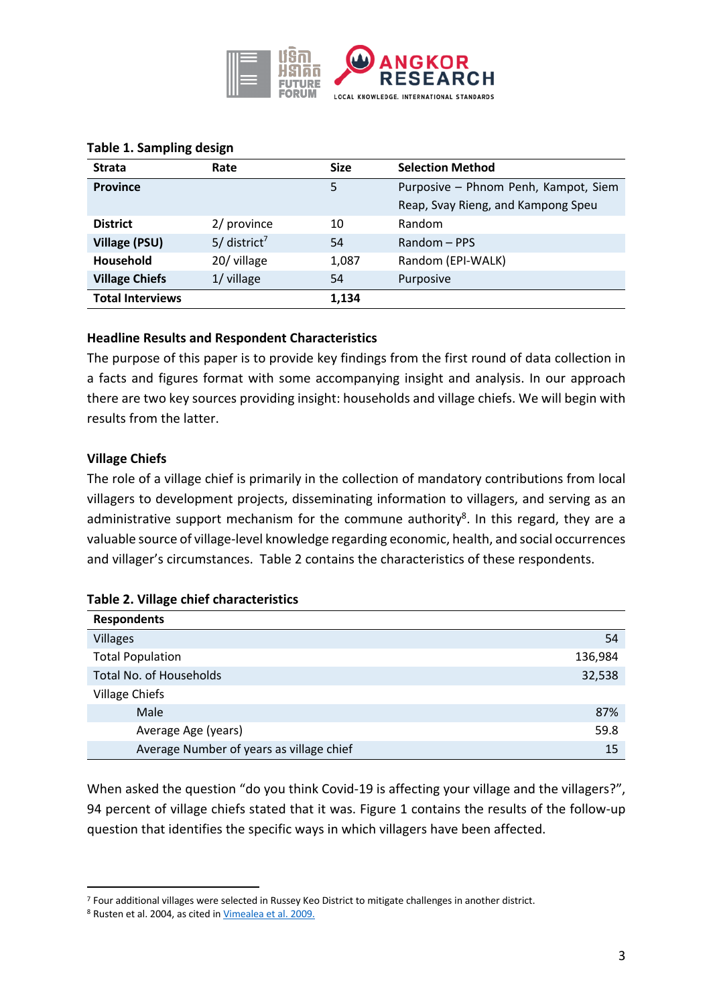

| <b>Strata</b>           | Rate                       | <b>Size</b> | <b>Selection Method</b>              |
|-------------------------|----------------------------|-------------|--------------------------------------|
| <b>Province</b>         |                            | 5           | Purposive - Phnom Penh, Kampot, Siem |
|                         |                            |             | Reap, Svay Rieng, and Kampong Speu   |
| <b>District</b>         | 2/ province                | 10          | Random                               |
| <b>Village (PSU)</b>    | $5/$ district <sup>7</sup> | 54          | Random - PPS                         |
| <b>Household</b>        | 20/ village                | 1,087       | Random (EPI-WALK)                    |
| <b>Village Chiefs</b>   | 1/ village                 | 54          | Purposive                            |
| <b>Total Interviews</b> |                            | 1,134       |                                      |

#### **Table 1. Sampling design**

## **Headline Results and Respondent Characteristics**

The purpose of this paper is to provide key findings from the first round of data collection in a facts and figures format with some accompanying insight and analysis. In our approach there are two key sources providing insight: households and village chiefs. We will begin with results from the latter.

## **Village Chiefs**

The role of a village chief is primarily in the collection of mandatory contributions from local villagers to development projects, disseminating information to villagers, and serving as an administrative support mechanism for the commune authority<sup>8</sup>. In this regard, they are a valuable source of village-level knowledge regarding economic, health, and social occurrences and villager's circumstances. Table 2 contains the characteristics of these respondents.

| $18000$ and this state of the state of the state of the state of the state of the state of the state of the state of the state of the state of the state of the state of the state of the state of the state of the state of |         |
|------------------------------------------------------------------------------------------------------------------------------------------------------------------------------------------------------------------------------|---------|
| <b>Respondents</b>                                                                                                                                                                                                           |         |
| <b>Villages</b>                                                                                                                                                                                                              | 54      |
| <b>Total Population</b>                                                                                                                                                                                                      | 136,984 |
| Total No. of Households                                                                                                                                                                                                      | 32,538  |
| <b>Village Chiefs</b>                                                                                                                                                                                                        |         |
| Male                                                                                                                                                                                                                         | 87%     |
| Average Age (years)                                                                                                                                                                                                          | 59.8    |
| Average Number of years as village chief                                                                                                                                                                                     | 15      |

#### **Table 2. Village chief characteristics**

When asked the question "do you think Covid-19 is affecting your village and the villagers?", 94 percent of village chiefs stated that it was. Figure 1 contains the results of the follow-up question that identifies the specific ways in which villagers have been affected.

<sup>7</sup> Four additional villages were selected in Russey Keo District to mitigate challenges in another district.

<sup>8</sup> Rusten et al. 2004, as cited in Vimealea et al. 2009.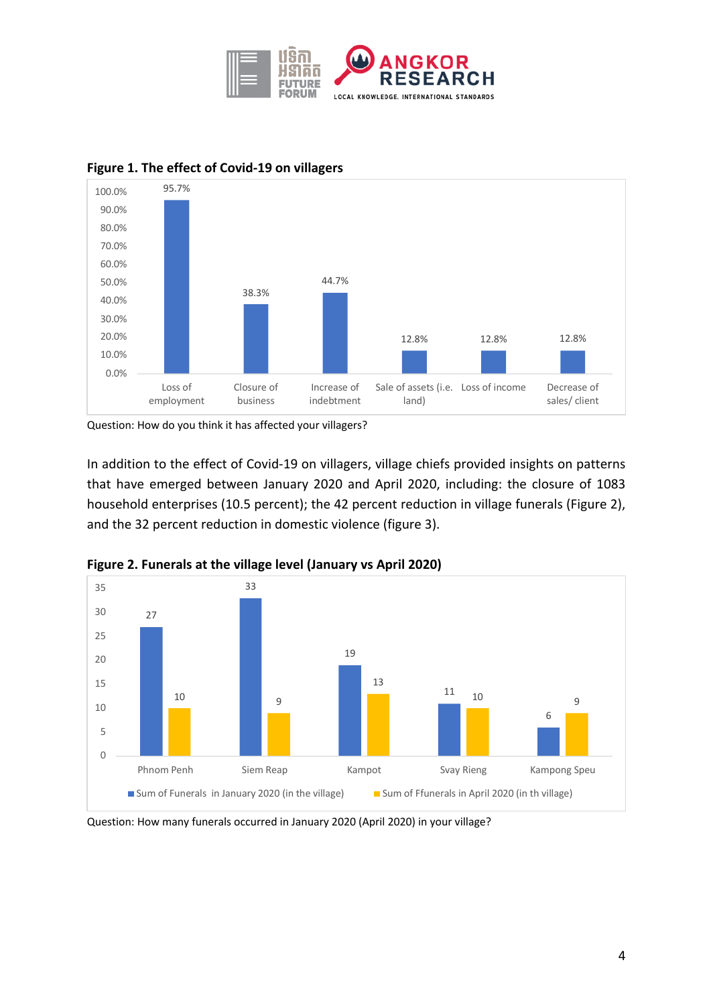



# **Figure 1. The effect of Covid-19 on villagers**

Question: How do you think it has affected your villagers?

In addition to the effect of Covid-19 on villagers, village chiefs provided insights on patterns that have emerged between January 2020 and April 2020, including: the closure of 1083 household enterprises (10.5 percent); the 42 percent reduction in village funerals (Figure 2), and the 32 percent reduction in domestic violence (figure 3).





Question: How many funerals occurred in January 2020 (April 2020) in your village?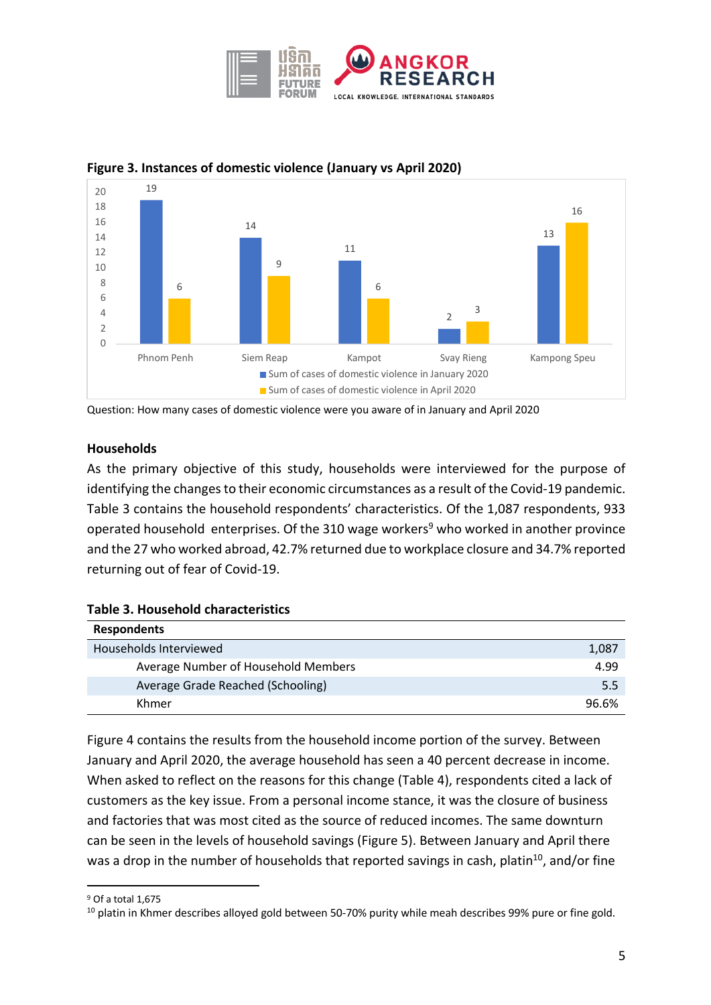



# **Figure 3. Instances of domestic violence (January vs April 2020)**

Question: How many cases of domestic violence were you aware of in January and April 2020

## **Households**

As the primary objective of this study, households were interviewed for the purpose of identifying the changes to their economic circumstances as a result of the Covid-19 pandemic. Table 3 contains the household respondents' characteristics. Of the 1,087 respondents, 933 operated household enterprises. Of the 310 wage workers<sup>9</sup> who worked in another province and the 27 who worked abroad, 42.7% returned due to workplace closure and 34.7% reported returning out of fear of Covid-19.

| <b>Respondents</b>                  |       |
|-------------------------------------|-------|
| Households Interviewed              | 1,087 |
| Average Number of Household Members | 4.99  |
| Average Grade Reached (Schooling)   | 5.5   |
| Khmer                               | 96.6% |

Figure 4 contains the results from the household income portion of the survey. Between January and April 2020, the average household has seen a 40 percent decrease in income. When asked to reflect on the reasons for this change (Table 4), respondents cited a lack of customers as the key issue. From a personal income stance, it was the closure of business and factories that was most cited as the source of reduced incomes. The same downturn can be seen in the levels of household savings (Figure 5). Between January and April there was a drop in the number of households that reported savings in cash, platin<sup>10</sup>, and/or fine

<sup>9</sup> Of a total 1,675

<sup>&</sup>lt;sup>10</sup> platin in Khmer describes alloyed gold between 50-70% purity while meah describes 99% pure or fine gold.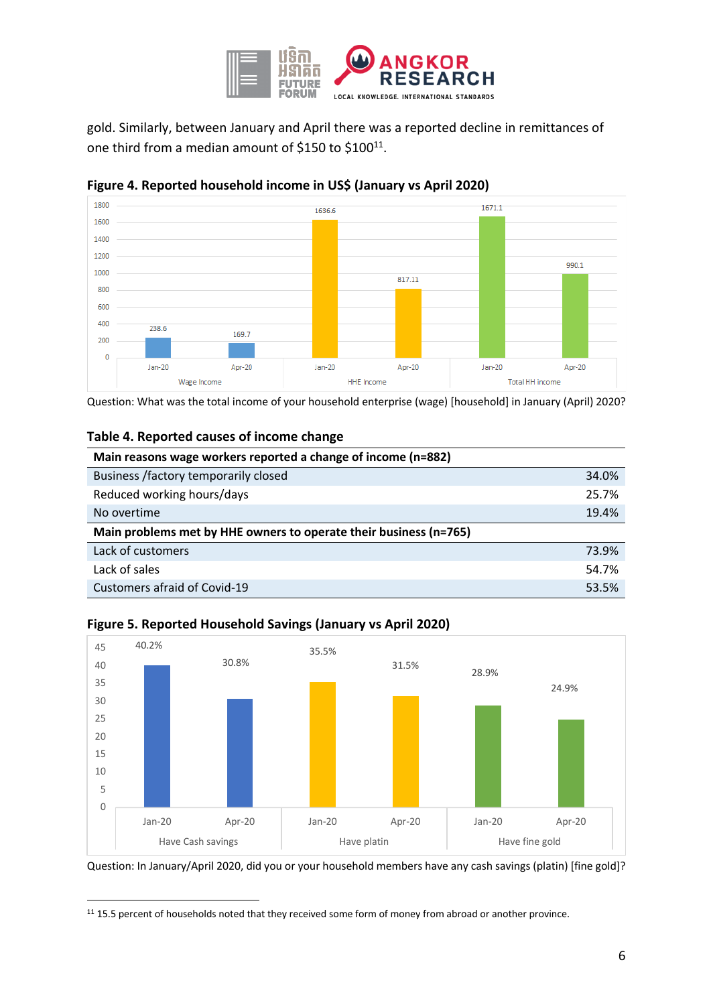

gold. Similarly, between January and April there was a reported decline in remittances of one third from a median amount of \$150 to \$100 $^{11}$ .



**Figure 4. Reported household income in US\$ (January vs April 2020)** 

Question: What was the total income of your household enterprise (wage) [household] in January (April) 2020?

#### **Table 4. Reported causes of income change**

| Main reasons wage workers reported a change of income (n=882)     |       |
|-------------------------------------------------------------------|-------|
| Business /factory temporarily closed                              | 34.0% |
| Reduced working hours/days                                        | 25.7% |
| No overtime                                                       | 19.4% |
| Main problems met by HHE owners to operate their business (n=765) |       |
| Lack of customers                                                 | 73.9% |
| Lack of sales                                                     | 54.7% |
| Customers afraid of Covid-19                                      | 53.5% |



#### **Figure 5. Reported Household Savings (January vs April 2020)**

Question: In January/April 2020, did you or your household members have any cash savings (platin) [fine gold]?

<sup>11</sup> 15.5 percent of households noted that they received some form of money from abroad or another province.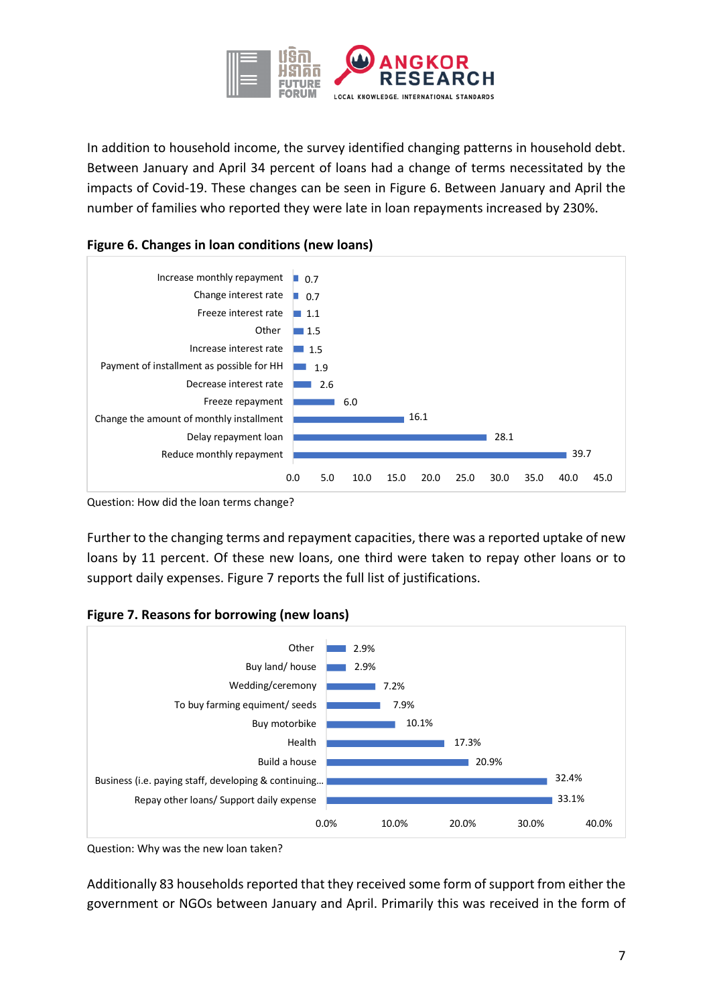

In addition to household income, the survey identified changing patterns in household debt. Between January and April 34 percent of loans had a change of terms necessitated by the impacts of Covid-19. These changes can be seen in Figure 6. Between January and April the number of families who reported they were late in loan repayments increased by 230%.





Question: How did the loan terms change?

Further to the changing terms and repayment capacities, there was a reported uptake of new loans by 11 percent. Of these new loans, one third were taken to repay other loans or to support daily expenses. Figure 7 reports the full list of justifications.





Question: Why was the new loan taken?

Additionally 83 households reported that they received some form of support from either the government or NGOs between January and April. Primarily this was received in the form of